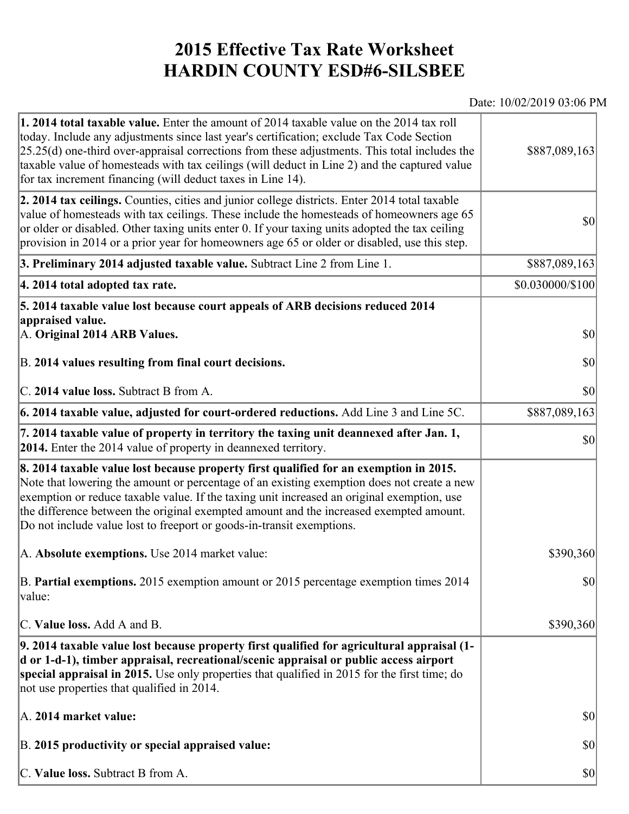## **2015 Effective Tax Rate Worksheet HARDIN COUNTY ESD#6-SILSBEE**

## Date: 10/02/2019 03:06 PM

| <b>1. 2014 total taxable value.</b> Enter the amount of 2014 taxable value on the 2014 tax roll<br>today. Include any adjustments since last year's certification; exclude Tax Code Section<br>$[25.25(d)$ one-third over-appraisal corrections from these adjustments. This total includes the<br>taxable value of homesteads with tax ceilings (will deduct in Line 2) and the captured value<br>for tax increment financing (will deduct taxes in Line 14). | \$887,089,163                       |
|----------------------------------------------------------------------------------------------------------------------------------------------------------------------------------------------------------------------------------------------------------------------------------------------------------------------------------------------------------------------------------------------------------------------------------------------------------------|-------------------------------------|
| 2. 2014 tax ceilings. Counties, cities and junior college districts. Enter 2014 total taxable<br>value of homesteads with tax ceilings. These include the homesteads of homeowners age 65<br>or older or disabled. Other taxing units enter 0. If your taxing units adopted the tax ceiling<br>provision in 2014 or a prior year for homeowners age 65 or older or disabled, use this step.                                                                    | $ 10\rangle$                        |
| 3. Preliminary 2014 adjusted taxable value. Subtract Line 2 from Line 1.                                                                                                                                                                                                                                                                                                                                                                                       | \$887,089,163                       |
| 4. 2014 total adopted tax rate.                                                                                                                                                                                                                                                                                                                                                                                                                                | \$0.030000/\$100                    |
| 5. 2014 taxable value lost because court appeals of ARB decisions reduced 2014                                                                                                                                                                                                                                                                                                                                                                                 |                                     |
| appraised value.<br>A. Original 2014 ARB Values.                                                                                                                                                                                                                                                                                                                                                                                                               | $ 10\rangle$                        |
| B. 2014 values resulting from final court decisions.                                                                                                                                                                                                                                                                                                                                                                                                           | \$0                                 |
| C. 2014 value loss. Subtract B from A.                                                                                                                                                                                                                                                                                                                                                                                                                         | $\vert \mathbf{S} \mathbf{O} \vert$ |
| 6. 2014 taxable value, adjusted for court-ordered reductions. Add Line 3 and Line 5C.                                                                                                                                                                                                                                                                                                                                                                          | \$887,089,163                       |
| 7. 2014 taxable value of property in territory the taxing unit deannexed after Jan. 1,<br><b>2014.</b> Enter the 2014 value of property in deannexed territory.                                                                                                                                                                                                                                                                                                | $ 10\rangle$                        |
| 8. 2014 taxable value lost because property first qualified for an exemption in 2015.<br>Note that lowering the amount or percentage of an existing exemption does not create a new<br>exemption or reduce taxable value. If the taxing unit increased an original exemption, use<br>the difference between the original exempted amount and the increased exempted amount.<br>Do not include value lost to freeport or goods-in-transit exemptions.           |                                     |
| A. Absolute exemptions. Use 2014 market value:                                                                                                                                                                                                                                                                                                                                                                                                                 | \$390,360                           |
| B. Partial exemptions. 2015 exemption amount or 2015 percentage exemption times 2014<br>value:                                                                                                                                                                                                                                                                                                                                                                 | $\vert \mathbf{S} \mathbf{0} \vert$ |
| C. Value loss. Add A and B.                                                                                                                                                                                                                                                                                                                                                                                                                                    | \$390,360                           |
| 9. 2014 taxable value lost because property first qualified for agricultural appraisal (1-<br>d or 1-d-1), timber appraisal, recreational/scenic appraisal or public access airport<br>special appraisal in 2015. Use only properties that qualified in 2015 for the first time; do<br>not use properties that qualified in 2014.                                                                                                                              |                                     |
| A. 2014 market value:                                                                                                                                                                                                                                                                                                                                                                                                                                          | $ 10\rangle$                        |
| B. 2015 productivity or special appraised value:                                                                                                                                                                                                                                                                                                                                                                                                               | $ 10\rangle$                        |
| C. Value loss. Subtract B from A.                                                                                                                                                                                                                                                                                                                                                                                                                              | $ 10\rangle$                        |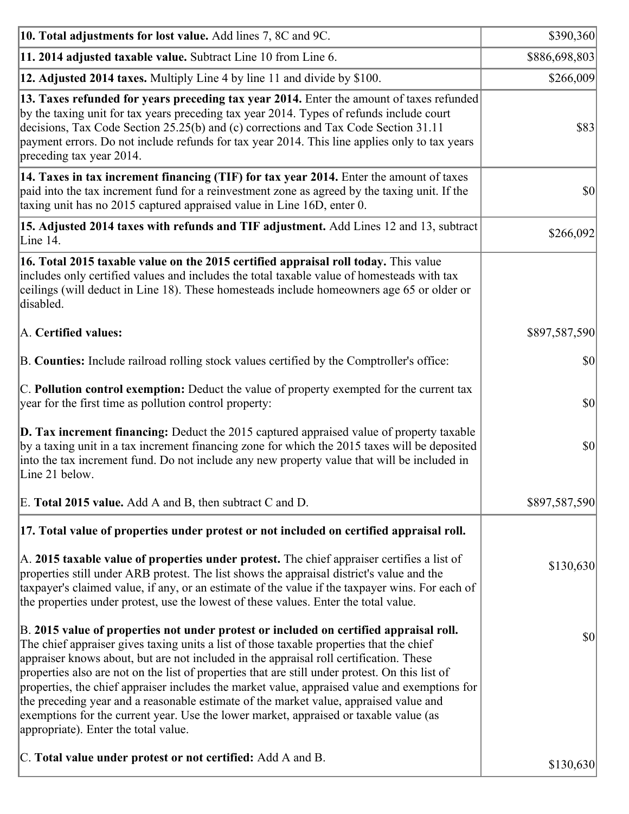| 10. Total adjustments for lost value. Add lines 7, 8C and 9C.                                                                                                                                                                                                                                                                                                                                                                                                                                                                                                                                                                                                                                              | \$390,360     |
|------------------------------------------------------------------------------------------------------------------------------------------------------------------------------------------------------------------------------------------------------------------------------------------------------------------------------------------------------------------------------------------------------------------------------------------------------------------------------------------------------------------------------------------------------------------------------------------------------------------------------------------------------------------------------------------------------------|---------------|
| 11. 2014 adjusted taxable value. Subtract Line 10 from Line 6.                                                                                                                                                                                                                                                                                                                                                                                                                                                                                                                                                                                                                                             | \$886,698,803 |
| 12. Adjusted 2014 taxes. Multiply Line 4 by line 11 and divide by \$100.                                                                                                                                                                                                                                                                                                                                                                                                                                                                                                                                                                                                                                   | \$266,009     |
| 13. Taxes refunded for years preceding tax year 2014. Enter the amount of taxes refunded<br>by the taxing unit for tax years preceding tax year 2014. Types of refunds include court<br>decisions, Tax Code Section 25.25(b) and (c) corrections and Tax Code Section 31.11<br>payment errors. Do not include refunds for tax year 2014. This line applies only to tax years<br>preceding tax year 2014.                                                                                                                                                                                                                                                                                                   | \$83          |
| 14. Taxes in tax increment financing (TIF) for tax year 2014. Enter the amount of taxes<br>paid into the tax increment fund for a reinvestment zone as agreed by the taxing unit. If the<br>taxing unit has no 2015 captured appraised value in Line 16D, enter 0.                                                                                                                                                                                                                                                                                                                                                                                                                                         | 30            |
| 15. Adjusted 2014 taxes with refunds and TIF adjustment. Add Lines 12 and 13, subtract<br>Line 14.                                                                                                                                                                                                                                                                                                                                                                                                                                                                                                                                                                                                         | \$266,092     |
| 16. Total 2015 taxable value on the 2015 certified appraisal roll today. This value<br>includes only certified values and includes the total taxable value of homesteads with tax<br>ceilings (will deduct in Line 18). These homesteads include homeowners age 65 or older or<br>disabled.                                                                                                                                                                                                                                                                                                                                                                                                                |               |
| A. Certified values:                                                                                                                                                                                                                                                                                                                                                                                                                                                                                                                                                                                                                                                                                       | \$897,587,590 |
| B. Counties: Include railroad rolling stock values certified by the Comptroller's office:                                                                                                                                                                                                                                                                                                                                                                                                                                                                                                                                                                                                                  | $ 10\rangle$  |
| C. Pollution control exemption: Deduct the value of property exempted for the current tax<br>year for the first time as pollution control property:                                                                                                                                                                                                                                                                                                                                                                                                                                                                                                                                                        | $ 10\rangle$  |
| <b>D. Tax increment financing:</b> Deduct the 2015 captured appraised value of property taxable<br>by a taxing unit in a tax increment financing zone for which the 2015 taxes will be deposited<br>into the tax increment fund. Do not include any new property value that will be included in<br>Line 21 below.                                                                                                                                                                                                                                                                                                                                                                                          | \$0           |
| E. Total 2015 value. Add A and B, then subtract C and D.                                                                                                                                                                                                                                                                                                                                                                                                                                                                                                                                                                                                                                                   | \$897,587,590 |
| 17. Total value of properties under protest or not included on certified appraisal roll.                                                                                                                                                                                                                                                                                                                                                                                                                                                                                                                                                                                                                   |               |
| A. 2015 taxable value of properties under protest. The chief appraiser certifies a list of<br>properties still under ARB protest. The list shows the appraisal district's value and the<br>taxpayer's claimed value, if any, or an estimate of the value if the taxpayer wins. For each of<br>the properties under protest, use the lowest of these values. Enter the total value.                                                                                                                                                                                                                                                                                                                         | \$130,630     |
| B. 2015 value of properties not under protest or included on certified appraisal roll.<br>The chief appraiser gives taxing units a list of those taxable properties that the chief<br>appraiser knows about, but are not included in the appraisal roll certification. These<br>properties also are not on the list of properties that are still under protest. On this list of<br>properties, the chief appraiser includes the market value, appraised value and exemptions for<br>the preceding year and a reasonable estimate of the market value, appraised value and<br>exemptions for the current year. Use the lower market, appraised or taxable value (as<br>appropriate). Enter the total value. | $ 10\rangle$  |
| C. Total value under protest or not certified: Add A and B.                                                                                                                                                                                                                                                                                                                                                                                                                                                                                                                                                                                                                                                | \$130,630     |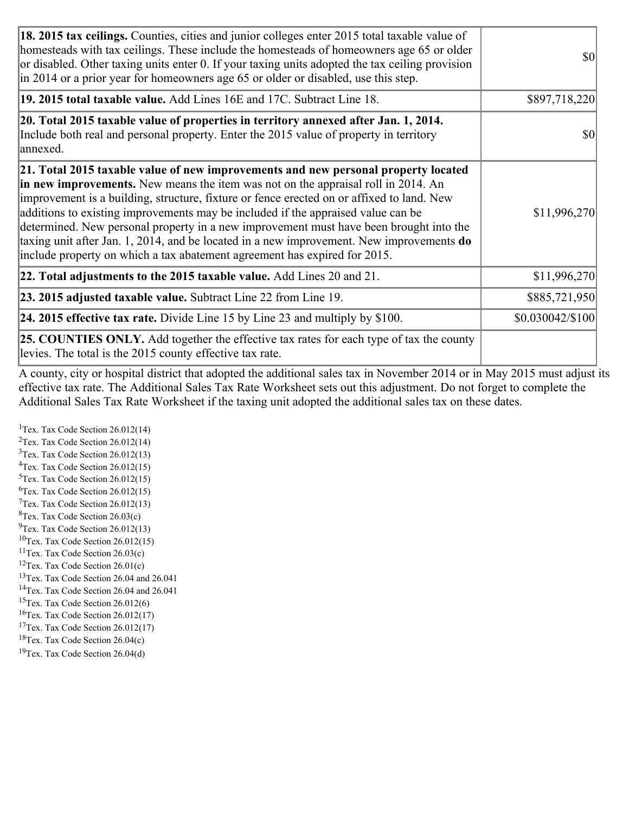| 18. 2015 tax ceilings. Counties, cities and junior colleges enter 2015 total taxable value of<br>homesteads with tax ceilings. These include the homesteads of homeowners age 65 or older<br>or disabled. Other taxing units enter 0. If your taxing units adopted the tax ceiling provision<br>in 2014 or a prior year for homeowners age 65 or older or disabled, use this step.                                                                                                                                                                                                                                                 | <b>\$0</b>       |
|------------------------------------------------------------------------------------------------------------------------------------------------------------------------------------------------------------------------------------------------------------------------------------------------------------------------------------------------------------------------------------------------------------------------------------------------------------------------------------------------------------------------------------------------------------------------------------------------------------------------------------|------------------|
| 19. 2015 total taxable value. Add Lines 16E and 17C. Subtract Line 18.                                                                                                                                                                                                                                                                                                                                                                                                                                                                                                                                                             | \$897,718,220    |
| 20. Total 2015 taxable value of properties in territory annexed after Jan. 1, 2014.<br>Include both real and personal property. Enter the 2015 value of property in territory<br>annexed.                                                                                                                                                                                                                                                                                                                                                                                                                                          | \$0              |
| 21. Total 2015 taxable value of new improvements and new personal property located<br>in new improvements. New means the item was not on the appraisal roll in 2014. An<br>improvement is a building, structure, fixture or fence erected on or affixed to land. New<br>additions to existing improvements may be included if the appraised value can be<br>determined. New personal property in a new improvement must have been brought into the<br>taxing unit after Jan. 1, 2014, and be located in a new improvement. New improvements <b>do</b><br>include property on which a tax abatement agreement has expired for 2015. | \$11,996,270     |
| $ 22.$ Total adjustments to the 2015 taxable value. Add Lines 20 and 21.                                                                                                                                                                                                                                                                                                                                                                                                                                                                                                                                                           | \$11,996,270     |
| <b>23. 2015 adjusted taxable value.</b> Subtract Line 22 from Line 19.                                                                                                                                                                                                                                                                                                                                                                                                                                                                                                                                                             | \$885,721,950    |
| 24. 2015 effective tax rate. Divide Line 15 by Line 23 and multiply by $$100$ .                                                                                                                                                                                                                                                                                                                                                                                                                                                                                                                                                    | \$0.030042/\$100 |
| <b>25. COUNTIES ONLY.</b> Add together the effective tax rates for each type of tax the county<br>levies. The total is the 2015 county effective tax rate.                                                                                                                                                                                                                                                                                                                                                                                                                                                                         |                  |

A county, city or hospital district that adopted the additional sales tax in November 2014 or in May 2015 must adjust its effective tax rate. The Additional Sales Tax Rate Worksheet sets out this adjustment. Do not forget to complete the Additional Sales Tax Rate Worksheet if the taxing unit adopted the additional sales tax on these dates.

<sup>1</sup>Tex. Tax Code Section  $26.012(14)$ <sup>2</sup>Tex. Tax Code Section  $26.012(14)$  $3$ Tex. Tax Code Section 26.012(13)  ${}^{4}$ Tex. Tax Code Section 26.012(15) <sup>5</sup>Tex. Tax Code Section 26.012(15)  ${}^{6}$ Tex. Tax Code Section 26.012(15)  $7$ Tex. Tax Code Section 26.012(13)  ${}^{8}$ Tex. Tax Code Section 26.03(c)  $^{9}$ Tex. Tax Code Section 26.012(13)  $10$ Tex. Tax Code Section 26.012(15) <sup>11</sup>Tex. Tax Code Section  $26.03(c)$ <sup>12</sup>Tex. Tax Code Section  $26.01(c)$ <sup>13</sup>Tex. Tax Code Section 26.04 and 26.041 <sup>14</sup>Tex. Tax Code Section 26.04 and 26.041 <sup>15</sup>Tex. Tax Code Section  $26.012(6)$  $16$ Tex. Tax Code Section 26.012(17) <sup>17</sup>Tex. Tax Code Section 26.012(17) <sup>18</sup>Tex. Tax Code Section  $26.04(c)$  $19$ Tex. Tax Code Section 26.04(d)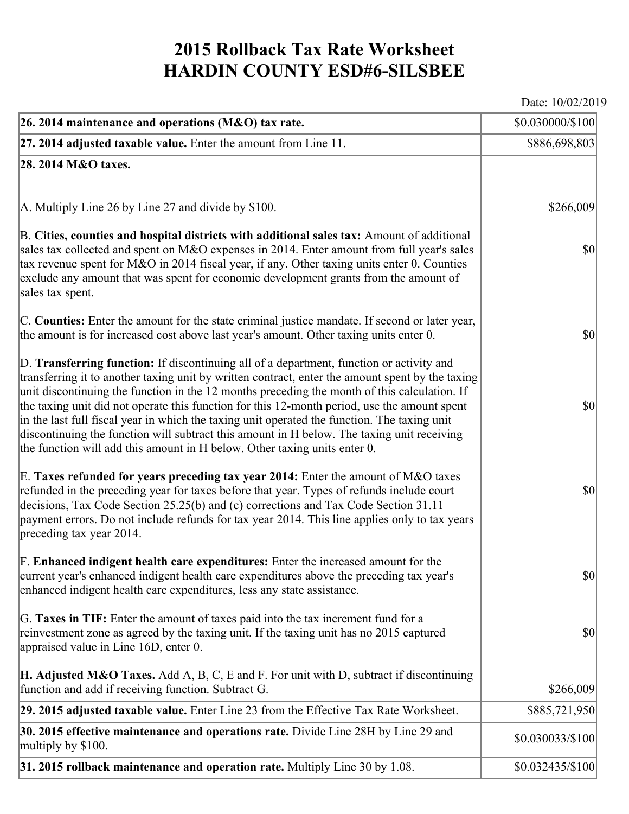## **2015 Rollback Tax Rate Worksheet HARDIN COUNTY ESD#6-SILSBEE**

Date: 10/02/2019

| 26. 2014 maintenance and operations ( $M&O$ ) tax rate.                                                                                                                                                                                                                                                                                                                                                                                                                                                                                                                                                                                                                 | \$0.030000/\$100 |
|-------------------------------------------------------------------------------------------------------------------------------------------------------------------------------------------------------------------------------------------------------------------------------------------------------------------------------------------------------------------------------------------------------------------------------------------------------------------------------------------------------------------------------------------------------------------------------------------------------------------------------------------------------------------------|------------------|
| $ 27.2014$ adjusted taxable value. Enter the amount from Line 11.                                                                                                                                                                                                                                                                                                                                                                                                                                                                                                                                                                                                       | \$886,698,803    |
| 28. 2014 M&O taxes.                                                                                                                                                                                                                                                                                                                                                                                                                                                                                                                                                                                                                                                     |                  |
|                                                                                                                                                                                                                                                                                                                                                                                                                                                                                                                                                                                                                                                                         |                  |
| A. Multiply Line 26 by Line 27 and divide by \$100.                                                                                                                                                                                                                                                                                                                                                                                                                                                                                                                                                                                                                     | \$266,009        |
| B. Cities, counties and hospital districts with additional sales tax: Amount of additional<br>sales tax collected and spent on M&O expenses in 2014. Enter amount from full year's sales<br>tax revenue spent for M&O in 2014 fiscal year, if any. Other taxing units enter 0. Counties<br>exclude any amount that was spent for economic development grants from the amount of<br>sales tax spent.                                                                                                                                                                                                                                                                     | $ 10\rangle$     |
| C. Counties: Enter the amount for the state criminal justice mandate. If second or later year,<br>the amount is for increased cost above last year's amount. Other taxing units enter 0.                                                                                                                                                                                                                                                                                                                                                                                                                                                                                | $ 10\rangle$     |
| D. Transferring function: If discontinuing all of a department, function or activity and<br>transferring it to another taxing unit by written contract, enter the amount spent by the taxing<br>unit discontinuing the function in the 12 months preceding the month of this calculation. If<br>the taxing unit did not operate this function for this 12-month period, use the amount spent<br>in the last full fiscal year in which the taxing unit operated the function. The taxing unit<br>discontinuing the function will subtract this amount in H below. The taxing unit receiving<br>the function will add this amount in H below. Other taxing units enter 0. | $ 10\rangle$     |
| E. Taxes refunded for years preceding tax year 2014: Enter the amount of M&O taxes<br>refunded in the preceding year for taxes before that year. Types of refunds include court<br>decisions, Tax Code Section 25.25(b) and (c) corrections and Tax Code Section 31.11<br>payment errors. Do not include refunds for tax year 2014. This line applies only to tax years<br>preceding tax year 2014.                                                                                                                                                                                                                                                                     | $ 10\rangle$     |
| F. Enhanced indigent health care expenditures: Enter the increased amount for the<br>current year's enhanced indigent health care expenditures above the preceding tax year's<br>enhanced indigent health care expenditures, less any state assistance.                                                                                                                                                                                                                                                                                                                                                                                                                 | $ 10\rangle$     |
| G. Taxes in TIF: Enter the amount of taxes paid into the tax increment fund for a<br>reinvestment zone as agreed by the taxing unit. If the taxing unit has no 2015 captured<br>appraised value in Line 16D, enter 0.                                                                                                                                                                                                                                                                                                                                                                                                                                                   | $ 10\rangle$     |
| <b>H. Adjusted M&amp;O Taxes.</b> Add A, B, C, E and F. For unit with D, subtract if discontinuing<br>function and add if receiving function. Subtract G.                                                                                                                                                                                                                                                                                                                                                                                                                                                                                                               | \$266,009        |
| 29. 2015 adjusted taxable value. Enter Line 23 from the Effective Tax Rate Worksheet.                                                                                                                                                                                                                                                                                                                                                                                                                                                                                                                                                                                   | \$885,721,950    |
| 30. 2015 effective maintenance and operations rate. Divide Line 28H by Line 29 and<br>multiply by \$100.                                                                                                                                                                                                                                                                                                                                                                                                                                                                                                                                                                | \$0.030033/\$100 |
| 31. 2015 rollback maintenance and operation rate. Multiply Line 30 by 1.08.                                                                                                                                                                                                                                                                                                                                                                                                                                                                                                                                                                                             | \$0.032435/\$100 |